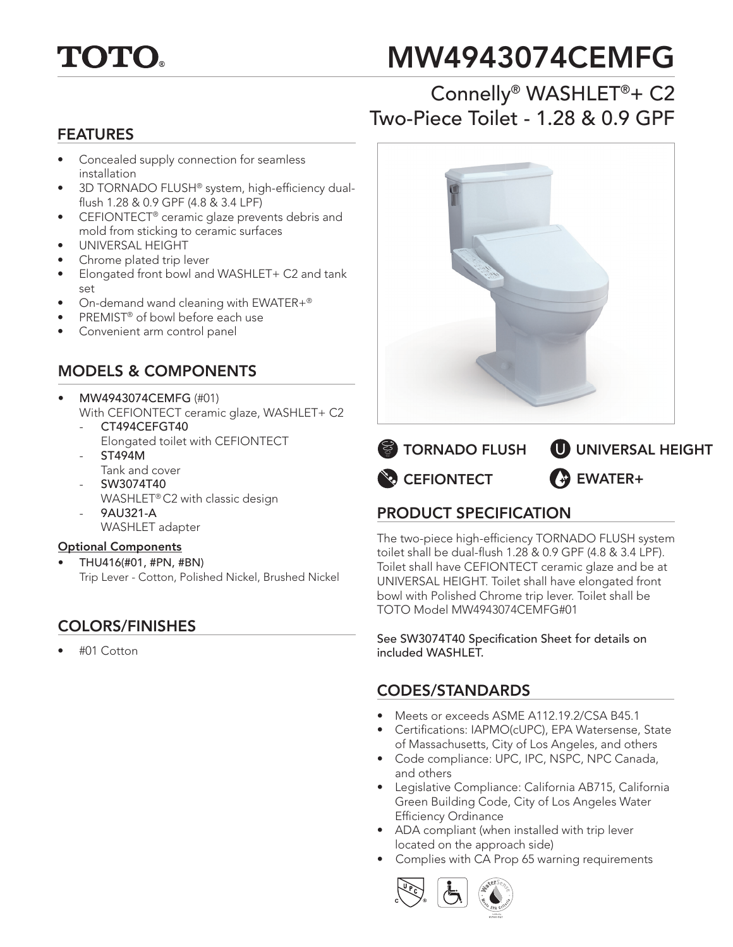

# MW4943074CEMFG

# Connelly® WASHLET®+ C2 Two-Piece Toilet - 1.28 & 0.9 GPF

#### FEATURES

- Concealed supply connection for seamless installation
- 3D TORNADO FLUSH® system, high-efficiency dualflush 1.28 & 0.9 GPF (4.8 & 3.4 LPF)
- CEFIONTECT® ceramic glaze prevents debris and mold from sticking to ceramic surfaces
- UNIVERSAL HEIGHT
- Chrome plated trip lever
- Elongated front bowl and WASHLET+ C2 and tank set
- On-demand wand cleaning with EWATER+®
- PREMIST<sup>®</sup> of bowl before each use
- Convenient arm control panel

## MODELS & COMPONENTS

- MW4943074CEMFG (#01) With CEFIONTECT ceramic glaze, WASHLET+ C2 CT494CEFGT40
	- Elongated toilet with CEFIONTECT - ST494M
	- Tank and cover
	- SW3074T40 WASHLET® C2 with classic design
	- 9AU321-A WASHLET adapter

#### Optional Components

• THU416(#01, #PN, #BN) Trip Lever - Cotton, Polished Nickel, Brushed Nickel

## COLORS/FINISHES

• #01 Cotton





## PRODUCT SPECIFICATION

The two-piece high-efficiency TORNADO FLUSH system toilet shall be dual-flush 1.28 & 0.9 GPF (4.8 & 3.4 LPF). Toilet shall have CEFIONTECT ceramic glaze and be at UNIVERSAL HEIGHT. Toilet shall have elongated front bowl with Polished Chrome trip lever. Toilet shall be TOTO Model MW4943074CEMFG#01

See SW3074T40 Specification Sheet for details on included WASHLET.

#### CODES/STANDARDS

- Meets or exceeds ASME A112.19.2/CSA B45.1
- Certifications: IAPMO(cUPC), EPA Watersense, State of Massachusetts, City of Los Angeles, and others
- Code compliance: UPC, IPC, NSPC, NPC Canada, and others
- Legislative Compliance: California AB715, California Green Building Code, City of Los Angeles Water Efficiency Ordinance
- ADA compliant (when installed with trip lever located on the approach side)
- Complies with CA Prop 65 warning requirements